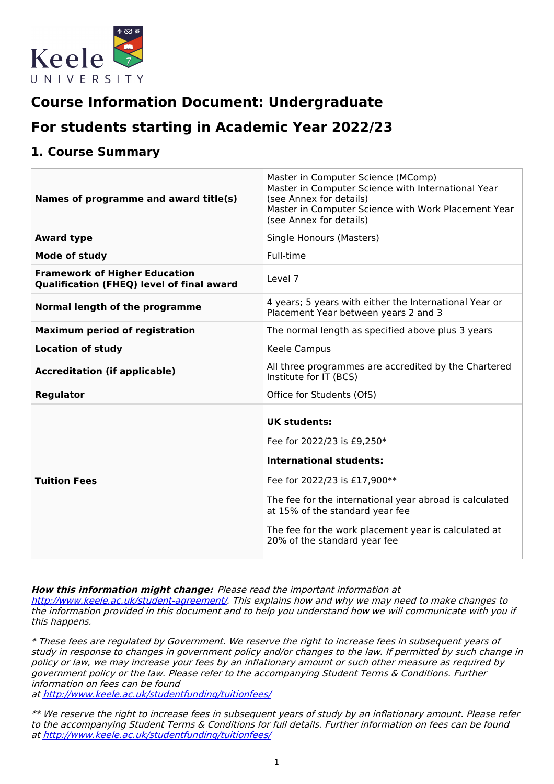

# **Course Information Document: Undergraduate**

# **For students starting in Academic Year 2022/23**

## **1. Course Summary**

| Names of programme and award title(s)                                                    | Master in Computer Science (MComp)<br>Master in Computer Science with International Year<br>(see Annex for details)<br>Master in Computer Science with Work Placement Year<br>(see Annex for details)                                                                                                     |
|------------------------------------------------------------------------------------------|-----------------------------------------------------------------------------------------------------------------------------------------------------------------------------------------------------------------------------------------------------------------------------------------------------------|
| <b>Award type</b>                                                                        | Single Honours (Masters)                                                                                                                                                                                                                                                                                  |
| <b>Mode of study</b>                                                                     | Full-time                                                                                                                                                                                                                                                                                                 |
| <b>Framework of Higher Education</b><br><b>Qualification (FHEQ) level of final award</b> | Level 7                                                                                                                                                                                                                                                                                                   |
| Normal length of the programme                                                           | 4 years; 5 years with either the International Year or<br>Placement Year between years 2 and 3                                                                                                                                                                                                            |
| <b>Maximum period of registration</b>                                                    | The normal length as specified above plus 3 years                                                                                                                                                                                                                                                         |
| <b>Location of study</b>                                                                 | Keele Campus                                                                                                                                                                                                                                                                                              |
| <b>Accreditation (if applicable)</b>                                                     | All three programmes are accredited by the Chartered<br>Institute for IT (BCS)                                                                                                                                                                                                                            |
| <b>Regulator</b>                                                                         | Office for Students (OfS)                                                                                                                                                                                                                                                                                 |
| <b>Tuition Fees</b>                                                                      | <b>UK students:</b><br>Fee for 2022/23 is £9,250*<br><b>International students:</b><br>Fee for 2022/23 is £17,900**<br>The fee for the international year abroad is calculated<br>at 15% of the standard year fee<br>The fee for the work placement year is calculated at<br>20% of the standard year fee |

**How this information might change:** Please read the important information at

<http://www.keele.ac.uk/student-agreement/>. This explains how and why we may need to make changes to the information provided in this document and to help you understand how we will communicate with you if this happens.

\* These fees are regulated by Government. We reserve the right to increase fees in subsequent years of study in response to changes in government policy and/or changes to the law. If permitted by such change in policy or law, we may increase your fees by an inflationary amount or such other measure as required by government policy or the law. Please refer to the accompanying Student Terms & Conditions. Further information on fees can be found

at <http://www.keele.ac.uk/studentfunding/tuitionfees/>

\*\* We reserve the right to increase fees in subsequent years of study by an inflationary amount. Please refer to the accompanying Student Terms & Conditions for full details. Further information on fees can be found at <http://www.keele.ac.uk/studentfunding/tuitionfees/>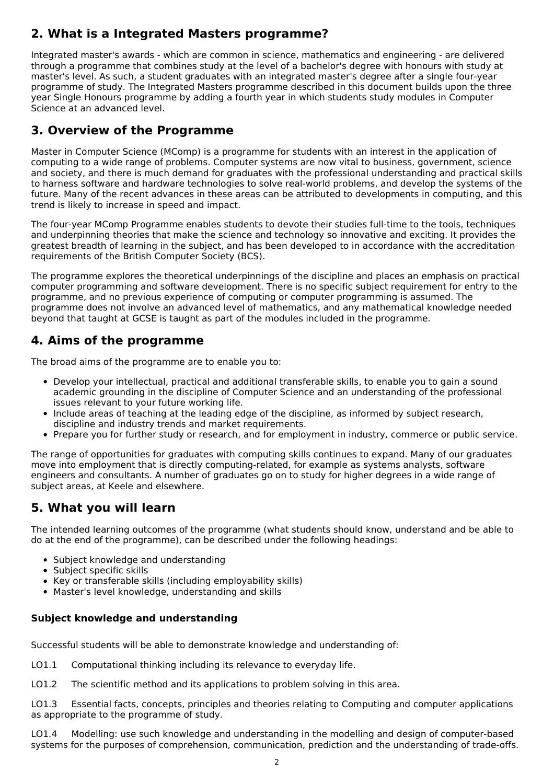# **2. What is a Integrated Masters programme?**

Integrated master's awards - which are common in science, mathematics and engineering - are delivered through a programme that combines study at the level of a bachelor's degree with honours with study at master's level. As such, a student graduates with an integrated master's degree after a single four-year programme of study. The Integrated Masters programme described in this document builds upon the three year Single Honours programme by adding a fourth year in which students study modules in Computer Science at an advanced level.

# **3. Overview of the Programme**

Master in Computer Science (MComp) is a programme for students with an interest in the application of computing to a wide range of problems. Computer systems are now vital to business, government, science and society, and there is much demand for graduates with the professional understanding and practical skills to harness software and hardware technologies to solve real-world problems, and develop the systems of the future. Many of the recent advances in these areas can be attributed to developments in computing, and this trend is likely to increase in speed and impact.

The four-year MComp Programme enables students to devote their studies full-time to the tools, techniques and underpinning theories that make the science and technology so innovative and exciting. It provides the greatest breadth of learning in the subject, and has been developed to in accordance with the accreditation requirements of the British Computer Society (BCS).

The programme explores the theoretical underpinnings of the discipline and places an emphasis on practical computer programming and software development. There is no specific subject requirement for entry to the programme, and no previous experience of computing or computer programming is assumed. The programme does not involve an advanced level of mathematics, and any mathematical knowledge needed beyond that taught at GCSE is taught as part of the modules included in the programme.

## **4. Aims of the programme**

The broad aims of the programme are to enable you to:

- Develop your intellectual, practical and additional transferable skills, to enable you to gain a sound academic grounding in the discipline of Computer Science and an understanding of the professional issues relevant to your future working life.
- Include areas of teaching at the leading edge of the discipline, as informed by subject research, discipline and industry trends and market requirements.
- Prepare you for further study or research, and for employment in industry, commerce or public service.

The range of opportunities for graduates with computing skills continues to expand. Many of our graduates move into employment that is directly computing-related, for example as systems analysts, software engineers and consultants. A number of graduates go on to study for higher degrees in a wide range of subject areas, at Keele and elsewhere.

# **5. What you will learn**

The intended learning outcomes of the programme (what students should know, understand and be able to do at the end of the programme), can be described under the following headings:

- Subject knowledge and understanding
- Subject specific skills
- Key or transferable skills (including employability skills)
- Master's level knowledge, understanding and skills

### **Subject knowledge and understanding**

Successful students will be able to demonstrate knowledge and understanding of:

- LO1.1 Computational thinking including its relevance to everyday life.
- LO1.2 The scientific method and its applications to problem solving in this area.

LO1.3 Essential facts, concepts, principles and theories relating to Computing and computer applications as appropriate to the programme of study.

LO1.4 Modelling: use such knowledge and understanding in the modelling and design of computer-based systems for the purposes of comprehension, communication, prediction and the understanding of trade-offs.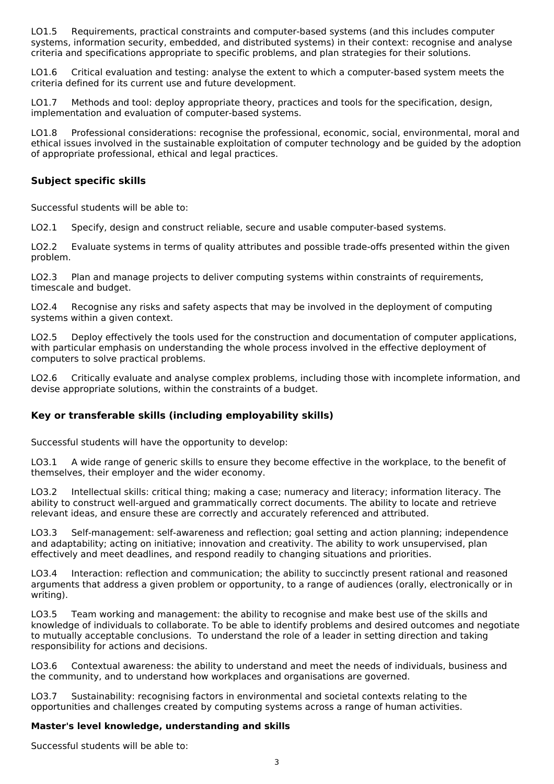LO1.5 Requirements, practical constraints and computer-based systems (and this includes computer systems, information security, embedded, and distributed systems) in their context: recognise and analyse criteria and specifications appropriate to specific problems, and plan strategies for their solutions.

LO1.6 Critical evaluation and testing: analyse the extent to which a computer-based system meets the criteria defined for its current use and future development.

LO1.7 Methods and tool: deploy appropriate theory, practices and tools for the specification, design, implementation and evaluation of computer-based systems.

LO1.8 Professional considerations: recognise the professional, economic, social, environmental, moral and ethical issues involved in the sustainable exploitation of computer technology and be guided by the adoption of appropriate professional, ethical and legal practices.

### **Subject specific skills**

Successful students will be able to:

LO2.1 Specify, design and construct reliable, secure and usable computer-based systems.

LO2.2 Evaluate systems in terms of quality attributes and possible trade-offs presented within the given problem.

LO2.3 Plan and manage projects to deliver computing systems within constraints of requirements, timescale and budget.

LO2.4 Recognise any risks and safety aspects that may be involved in the deployment of computing systems within a given context.

LO2.5 Deploy effectively the tools used for the construction and documentation of computer applications, with particular emphasis on understanding the whole process involved in the effective deployment of computers to solve practical problems.

LO2.6 Critically evaluate and analyse complex problems, including those with incomplete information, and devise appropriate solutions, within the constraints of a budget.

### **Key or transferable skills (including employability skills)**

Successful students will have the opportunity to develop:

LO3.1 A wide range of generic skills to ensure they become effective in the workplace, to the benefit of themselves, their employer and the wider economy.

LO3.2 Intellectual skills: critical thing; making a case; numeracy and literacy; information literacy. The ability to construct well-argued and grammatically correct documents. The ability to locate and retrieve relevant ideas, and ensure these are correctly and accurately referenced and attributed.

LO3.3 Self-management: self-awareness and reflection; goal setting and action planning; independence and adaptability; acting on initiative; innovation and creativity. The ability to work unsupervised, plan effectively and meet deadlines, and respond readily to changing situations and priorities.

LO3.4 Interaction: reflection and communication; the ability to succinctly present rational and reasoned arguments that address a given problem or opportunity, to a range of audiences (orally, electronically or in writing).

LO3.5 Team working and management: the ability to recognise and make best use of the skills and knowledge of individuals to collaborate. To be able to identify problems and desired outcomes and negotiate to mutually acceptable conclusions. To understand the role of a leader in setting direction and taking responsibility for actions and decisions.

LO3.6 Contextual awareness: the ability to understand and meet the needs of individuals, business and the community, and to understand how workplaces and organisations are governed.

LO3.7 Sustainability: recognising factors in environmental and societal contexts relating to the opportunities and challenges created by computing systems across a range of human activities.

#### **Master's level knowledge, understanding and skills**

Successful students will be able to: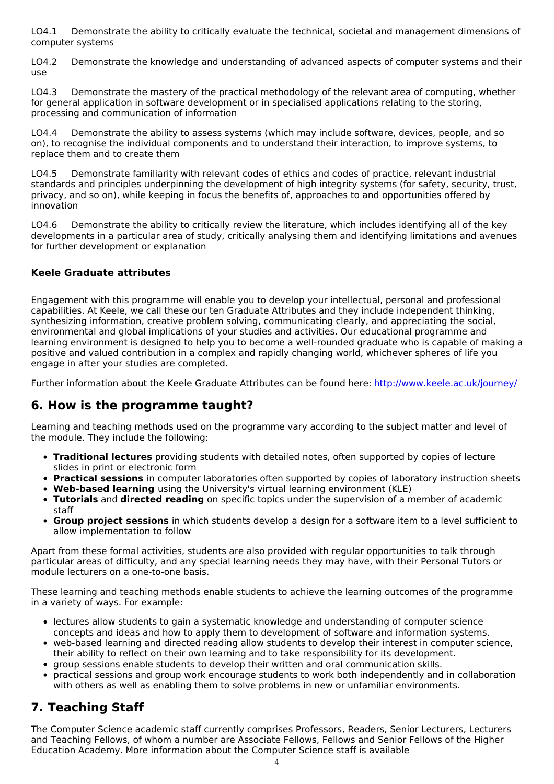LO4.1 Demonstrate the ability to critically evaluate the technical, societal and management dimensions of computer systems

LO4.2 Demonstrate the knowledge and understanding of advanced aspects of computer systems and their use

LO4.3 Demonstrate the mastery of the practical methodology of the relevant area of computing, whether for general application in software development or in specialised applications relating to the storing, processing and communication of information

LO4.4 Demonstrate the ability to assess systems (which may include software, devices, people, and so on), to recognise the individual components and to understand their interaction, to improve systems, to replace them and to create them

LO4.5 Demonstrate familiarity with relevant codes of ethics and codes of practice, relevant industrial standards and principles underpinning the development of high integrity systems (for safety, security, trust, privacy, and so on), while keeping in focus the benefits of, approaches to and opportunities offered by innovation

LO4.6 Demonstrate the ability to critically review the literature, which includes identifying all of the key developments in a particular area of study, critically analysing them and identifying limitations and avenues for further development or explanation

### **Keele Graduate attributes**

Engagement with this programme will enable you to develop your intellectual, personal and professional capabilities. At Keele, we call these our ten Graduate Attributes and they include independent thinking, synthesizing information, creative problem solving, communicating clearly, and appreciating the social, environmental and global implications of your studies and activities. Our educational programme and learning environment is designed to help you to become a well-rounded graduate who is capable of making a positive and valued contribution in a complex and rapidly changing world, whichever spheres of life you engage in after your studies are completed.

Further information about the Keele Graduate Attributes can be found here: <http://www.keele.ac.uk/journey/>

## **6. How is the programme taught?**

Learning and teaching methods used on the programme vary according to the subject matter and level of the module. They include the following:

- **Traditional lectures** providing students with detailed notes, often supported by copies of lecture slides in print or electronic form
- **Practical sessions** in computer laboratories often supported by copies of laboratory instruction sheets
- **Web-based learning** using the University's virtual learning environment (KLE)
- **Tutorials** and **directed reading** on specific topics under the supervision of a member of academic staff
- **Group project sessions** in which students develop a design for a software item to a level sufficient to allow implementation to follow

Apart from these formal activities, students are also provided with regular opportunities to talk through particular areas of difficulty, and any special learning needs they may have, with their Personal Tutors or module lecturers on a one-to-one basis.

These learning and teaching methods enable students to achieve the learning outcomes of the programme in a variety of ways. For example:

- lectures allow students to gain a systematic knowledge and understanding of computer science concepts and ideas and how to apply them to development of software and information systems.
- web-based learning and directed reading allow students to develop their interest in computer science, their ability to reflect on their own learning and to take responsibility for its development.
- group sessions enable students to develop their written and oral communication skills.
- practical sessions and group work encourage students to work both independently and in collaboration with others as well as enabling them to solve problems in new or unfamiliar environments.

# **7. Teaching Staff**

The Computer Science academic staff currently comprises Professors, Readers, Senior Lecturers, Lecturers and Teaching Fellows, of whom a number are Associate Fellows, Fellows and Senior Fellows of the Higher Education Academy. More information about the Computer Science staff is available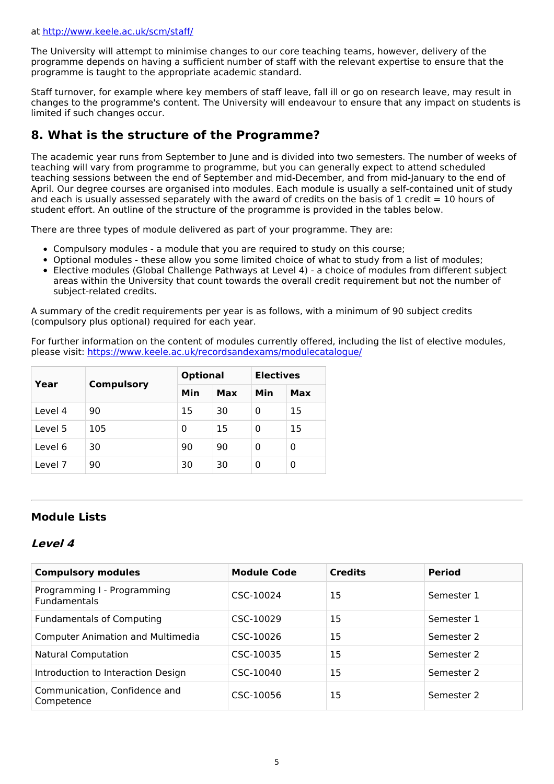The University will attempt to minimise changes to our core teaching teams, however, delivery of the programme depends on having a sufficient number of staff with the relevant expertise to ensure that the programme is taught to the appropriate academic standard.

Staff turnover, for example where key members of staff leave, fall ill or go on research leave, may result in changes to the programme's content. The University will endeavour to ensure that any impact on students is limited if such changes occur.

# **8. What is the structure of the Programme?**

The academic year runs from September to June and is divided into two semesters. The number of weeks of teaching will vary from programme to programme, but you can generally expect to attend scheduled teaching sessions between the end of September and mid-December, and from mid-January to the end of April. Our degree courses are organised into modules. Each module is usually a self-contained unit of study and each is usually assessed separately with the award of credits on the basis of 1 credit = 10 hours of student effort. An outline of the structure of the programme is provided in the tables below.

There are three types of module delivered as part of your programme. They are:

- Compulsory modules a module that you are required to study on this course;
- Optional modules these allow you some limited choice of what to study from a list of modules;
- Elective modules (Global Challenge Pathways at Level 4) a choice of modules from different subject areas within the University that count towards the overall credit requirement but not the number of subject-related credits.

A summary of the credit requirements per year is as follows, with a minimum of 90 subject credits (compulsory plus optional) required for each year.

For further information on the content of modules currently offered, including the list of elective modules, please visit: <https://www.keele.ac.uk/recordsandexams/modulecatalogue/>

| Year<br><b>Compulsory</b> |     | <b>Optional</b> | <b>Electives</b> |     |     |
|---------------------------|-----|-----------------|------------------|-----|-----|
|                           |     | Min             | Max              | Min | Max |
| Level 4                   | 90  | 15              | 30               | 0   | 15  |
| Level 5                   | 105 | 0               | 15               | 0   | 15  |
| Level 6                   | 30  | 90              | 90               | 0   | 0   |
| Level 7                   | 90  | 30              | 30               | 0   | 0   |

### **Module Lists**

### **Level 4**

| <b>Compulsory modules</b>                          | <b>Module Code</b> | <b>Credits</b> | <b>Period</b> |
|----------------------------------------------------|--------------------|----------------|---------------|
| Programming I - Programming<br><b>Fundamentals</b> | CSC-10024          | 15             | Semester 1    |
| <b>Fundamentals of Computing</b>                   | CSC-10029          | 15             | Semester 1    |
| <b>Computer Animation and Multimedia</b>           | CSC-10026          | 15             | Semester 2    |
| <b>Natural Computation</b>                         | CSC-10035          | 15             | Semester 2    |
| Introduction to Interaction Design                 | CSC-10040          | 15             | Semester 2    |
| Communication, Confidence and<br>Competence        | CSC-10056          | 15             | Semester 2    |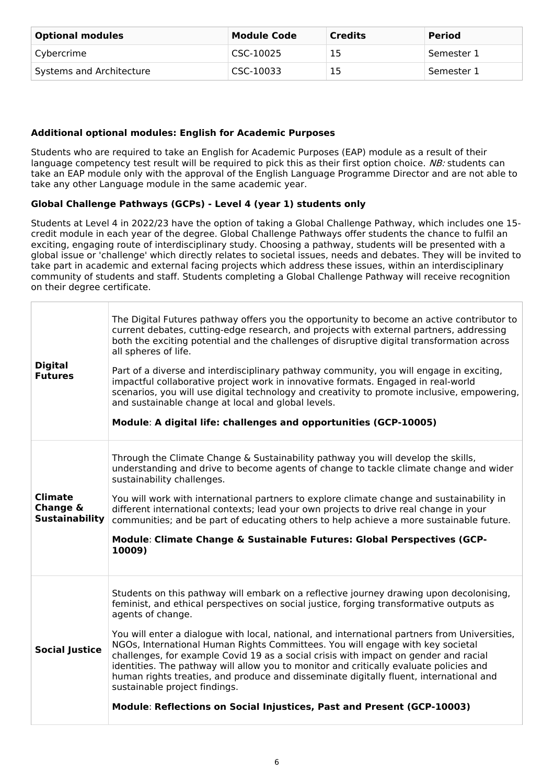| <b>Optional modules</b>  | <b>Module Code</b> | <b>Credits</b> | <b>Period</b> |
|--------------------------|--------------------|----------------|---------------|
| Cybercrime               | CSC-10025          | 15             | Semester 1    |
| Systems and Architecture | CSC-10033          | 15             | Semester 1    |

### **Additional optional modules: English for Academic Purposes**

Students who are required to take an English for Academic Purposes (EAP) module as a result of their language competency test result will be required to pick this as their first option choice. NB: students can take an EAP module only with the approval of the English Language Programme Director and are not able to take any other Language module in the same academic year.

### **Global Challenge Pathways (GCPs) - Level 4 (year 1) students only**

Students at Level 4 in 2022/23 have the option of taking a Global Challenge Pathway, which includes one 15 credit module in each year of the degree. Global Challenge Pathways offer students the chance to fulfil an exciting, engaging route of interdisciplinary study. Choosing a pathway, students will be presented with a global issue or 'challenge' which directly relates to societal issues, needs and debates. They will be invited to take part in academic and external facing projects which address these issues, within an interdisciplinary community of students and staff. Students completing a Global Challenge Pathway will receive recognition on their degree certificate.

| <b>Digital</b><br><b>Futures</b>                    | The Digital Futures pathway offers you the opportunity to become an active contributor to<br>current debates, cutting-edge research, and projects with external partners, addressing<br>both the exciting potential and the challenges of disruptive digital transformation across<br>all spheres of life.<br>Part of a diverse and interdisciplinary pathway community, you will engage in exciting,<br>impactful collaborative project work in innovative formats. Engaged in real-world<br>scenarios, you will use digital technology and creativity to promote inclusive, empowering,<br>and sustainable change at local and global levels.<br>Module: A digital life: challenges and opportunities (GCP-10005)                                                               |
|-----------------------------------------------------|-----------------------------------------------------------------------------------------------------------------------------------------------------------------------------------------------------------------------------------------------------------------------------------------------------------------------------------------------------------------------------------------------------------------------------------------------------------------------------------------------------------------------------------------------------------------------------------------------------------------------------------------------------------------------------------------------------------------------------------------------------------------------------------|
| <b>Climate</b><br>Change &<br><b>Sustainability</b> | Through the Climate Change & Sustainability pathway you will develop the skills,<br>understanding and drive to become agents of change to tackle climate change and wider<br>sustainability challenges.<br>You will work with international partners to explore climate change and sustainability in<br>different international contexts; lead your own projects to drive real change in your<br>communities; and be part of educating others to help achieve a more sustainable future.<br>Module: Climate Change & Sustainable Futures: Global Perspectives (GCP-<br>10009)                                                                                                                                                                                                     |
| <b>Social Justice</b>                               | Students on this pathway will embark on a reflective journey drawing upon decolonising,<br>feminist, and ethical perspectives on social justice, forging transformative outputs as<br>agents of change.<br>You will enter a dialogue with local, national, and international partners from Universities,<br>NGOs, International Human Rights Committees. You will engage with key societal<br>challenges, for example Covid 19 as a social crisis with impact on gender and racial<br>identities. The pathway will allow you to monitor and critically evaluate policies and<br>human rights treaties, and produce and disseminate digitally fluent, international and<br>sustainable project findings.<br>Module: Reflections on Social Injustices, Past and Present (GCP-10003) |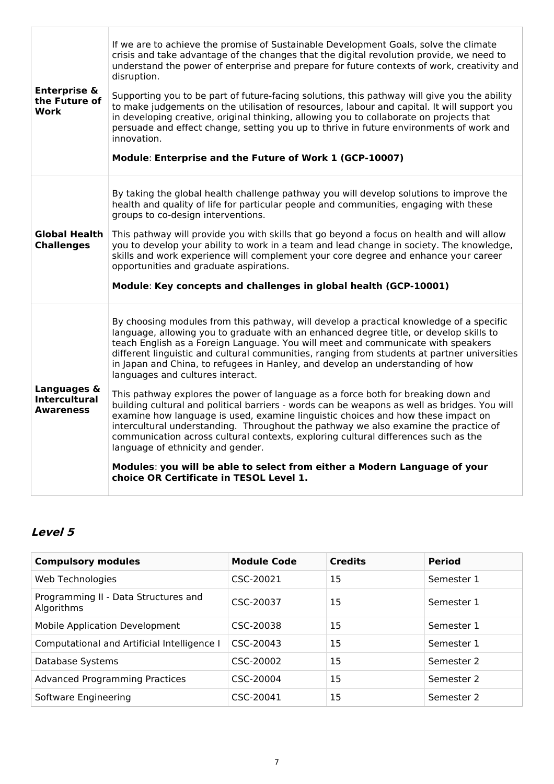| <b>Enterprise &amp;</b><br>the Future of<br>Work        | If we are to achieve the promise of Sustainable Development Goals, solve the climate<br>crisis and take advantage of the changes that the digital revolution provide, we need to<br>understand the power of enterprise and prepare for future contexts of work, creativity and<br>disruption.<br>Supporting you to be part of future-facing solutions, this pathway will give you the ability<br>to make judgements on the utilisation of resources, labour and capital. It will support you<br>in developing creative, original thinking, allowing you to collaborate on projects that<br>persuade and effect change, setting you up to thrive in future environments of work and<br>innovation.<br>Module: Enterprise and the Future of Work 1 (GCP-10007)                                                                                                                                                                                                                                                                                                                                                   |
|---------------------------------------------------------|----------------------------------------------------------------------------------------------------------------------------------------------------------------------------------------------------------------------------------------------------------------------------------------------------------------------------------------------------------------------------------------------------------------------------------------------------------------------------------------------------------------------------------------------------------------------------------------------------------------------------------------------------------------------------------------------------------------------------------------------------------------------------------------------------------------------------------------------------------------------------------------------------------------------------------------------------------------------------------------------------------------------------------------------------------------------------------------------------------------|
| <b>Global Health</b><br><b>Challenges</b>               | By taking the global health challenge pathway you will develop solutions to improve the<br>health and quality of life for particular people and communities, engaging with these<br>groups to co-design interventions.<br>This pathway will provide you with skills that go beyond a focus on health and will allow<br>you to develop your ability to work in a team and lead change in society. The knowledge,<br>skills and work experience will complement your core degree and enhance your career<br>opportunities and graduate aspirations.<br>Module: Key concepts and challenges in global health (GCP-10001)                                                                                                                                                                                                                                                                                                                                                                                                                                                                                          |
| Languages &<br><b>Intercultural</b><br><b>Awareness</b> | By choosing modules from this pathway, will develop a practical knowledge of a specific<br>language, allowing you to graduate with an enhanced degree title, or develop skills to<br>teach English as a Foreign Language. You will meet and communicate with speakers<br>different linguistic and cultural communities, ranging from students at partner universities<br>in Japan and China, to refugees in Hanley, and develop an understanding of how<br>languages and cultures interact.<br>This pathway explores the power of language as a force both for breaking down and<br>building cultural and political barriers - words can be weapons as well as bridges. You will<br>examine how language is used, examine linguistic choices and how these impact on<br>intercultural understanding. Throughout the pathway we also examine the practice of<br>communication across cultural contexts, exploring cultural differences such as the<br>language of ethnicity and gender.<br>Modules: you will be able to select from either a Modern Language of your<br>choice OR Certificate in TESOL Level 1. |

# **Level 5**

| <b>Compulsory modules</b>                          | <b>Module Code</b> | <b>Credits</b> | <b>Period</b> |
|----------------------------------------------------|--------------------|----------------|---------------|
| Web Technologies                                   | CSC-20021          | 15             | Semester 1    |
| Programming II - Data Structures and<br>Algorithms | CSC-20037          | 15             | Semester 1    |
| Mobile Application Development                     | CSC-20038          | 15             | Semester 1    |
| Computational and Artificial Intelligence I        | CSC-20043          | 15             | Semester 1    |
| Database Systems                                   | CSC-20002          | 15             | Semester 2    |
| <b>Advanced Programming Practices</b>              | CSC-20004          | 15             | Semester 2    |
| Software Engineering                               | CSC-20041          | 15             | Semester 2    |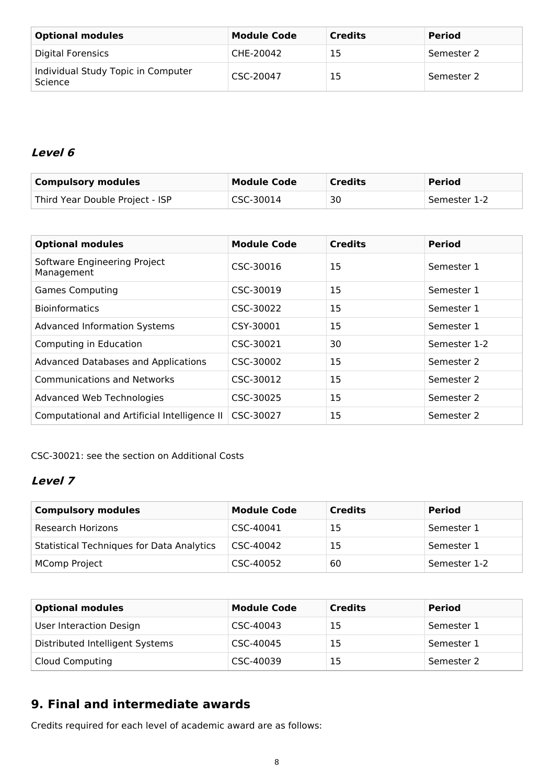| <b>Optional modules</b>                       | <b>Module Code</b> | <b>Credits</b> | <b>Period</b> |
|-----------------------------------------------|--------------------|----------------|---------------|
| Digital Forensics                             | CHE-20042          | 15             | Semester 2    |
| Individual Study Topic in Computer<br>Science | CSC-20047          | 15             | Semester 2    |

# **Level 6**

| <b>Compulsory modules</b>       | <b>Module Code</b> | <b>Credits</b> | <b>Period</b> |
|---------------------------------|--------------------|----------------|---------------|
| Third Year Double Project - ISP | CSC-30014          | 30             | Semester 1-2  |

| <b>Optional modules</b>                      | <b>Module Code</b> | <b>Credits</b> | <b>Period</b> |
|----------------------------------------------|--------------------|----------------|---------------|
| Software Engineering Project<br>Management   | CSC-30016          | 15             | Semester 1    |
| <b>Games Computing</b>                       | CSC-30019          | 15             | Semester 1    |
| <b>Bioinformatics</b>                        | CSC-30022          | 15             | Semester 1    |
| <b>Advanced Information Systems</b>          | CSY-30001          | 15             | Semester 1    |
| Computing in Education                       | CSC-30021          | 30             | Semester 1-2  |
| <b>Advanced Databases and Applications</b>   | CSC-30002          | 15             | Semester 2    |
| <b>Communications and Networks</b>           | CSC-30012          | 15             | Semester 2    |
| Advanced Web Technologies                    | CSC-30025          | 15             | Semester 2    |
| Computational and Artificial Intelligence II | CSC-30027          | 15             | Semester 2    |

CSC-30021: see the section on Additional Costs

# **Level 7**

| <b>Compulsory modules</b>                        | <b>Module Code</b> | <b>Credits</b> | <b>Period</b> |
|--------------------------------------------------|--------------------|----------------|---------------|
| <b>Research Horizons</b>                         | CSC-40041          | 15             | Semester 1    |
| <b>Statistical Techniques for Data Analytics</b> | CSC-40042          | 15             | Semester 1    |
| <b>MComp Project</b>                             | CSC-40052          | 60             | Semester 1-2  |

| <b>Optional modules</b>         | <b>Module Code</b> | <b>Credits</b> | <b>Period</b> |
|---------------------------------|--------------------|----------------|---------------|
| User Interaction Design         | CSC-40043          | 15             | Semester 1    |
| Distributed Intelligent Systems | CSC-40045          | 15             | Semester 1    |
| <b>Cloud Computing</b>          | CSC-40039          | 15             | Semester 2    |

# **9. Final and intermediate awards**

Credits required for each level of academic award are as follows: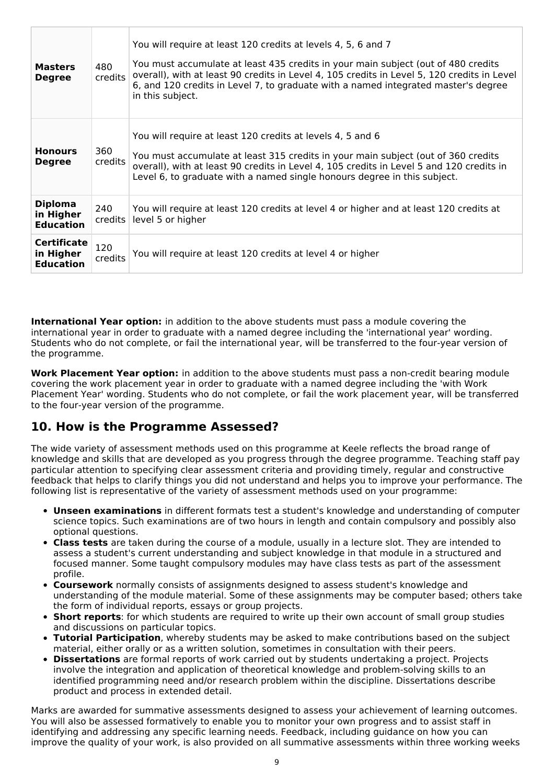| <b>Masters</b><br><b>Degree</b>                     | 480<br>credits    | You will require at least 120 credits at levels 4, 5, 6 and 7<br>You must accumulate at least 435 credits in your main subject (out of 480 credits<br>overall), with at least 90 credits in Level 4, 105 credits in Level 5, 120 credits in Level<br>6, and 120 credits in Level 7, to graduate with a named integrated master's degree<br>in this subject. |  |
|-----------------------------------------------------|-------------------|-------------------------------------------------------------------------------------------------------------------------------------------------------------------------------------------------------------------------------------------------------------------------------------------------------------------------------------------------------------|--|
| <b>Honours</b><br><b>Degree</b>                     | 360<br>credits    | You will require at least 120 credits at levels 4, 5 and 6<br>You must accumulate at least 315 credits in your main subject (out of 360 credits<br>overall), with at least 90 credits in Level 4, 105 credits in Level 5 and 120 credits in<br>Level 6, to graduate with a named single honours degree in this subject.                                     |  |
| <b>Diploma</b><br>in Higher<br><b>Education</b>     | 240<br>$c$ redits | You will require at least 120 credits at level 4 or higher and at least 120 credits at<br>level 5 or higher                                                                                                                                                                                                                                                 |  |
| <b>Certificate</b><br>in Higher<br><b>Education</b> | 120<br>credits    | You will require at least 120 credits at level 4 or higher                                                                                                                                                                                                                                                                                                  |  |

**International Year option:** in addition to the above students must pass a module covering the international year in order to graduate with a named degree including the 'international year' wording. Students who do not complete, or fail the international year, will be transferred to the four-year version of the programme.

**Work Placement Year option:** in addition to the above students must pass a non-credit bearing module covering the work placement year in order to graduate with a named degree including the 'with Work Placement Year' wording. Students who do not complete, or fail the work placement year, will be transferred to the four-year version of the programme.

# **10. How is the Programme Assessed?**

The wide variety of assessment methods used on this programme at Keele reflects the broad range of knowledge and skills that are developed as you progress through the degree programme. Teaching staff pay particular attention to specifying clear assessment criteria and providing timely, regular and constructive feedback that helps to clarify things you did not understand and helps you to improve your performance. The following list is representative of the variety of assessment methods used on your programme:

- **Unseen examinations** in different formats test a student's knowledge and understanding of computer science topics. Such examinations are of two hours in length and contain compulsory and possibly also optional questions.
- **Class tests** are taken during the course of a module, usually in a lecture slot. They are intended to assess a student's current understanding and subject knowledge in that module in a structured and focused manner. Some taught compulsory modules may have class tests as part of the assessment profile.
- **Coursework** normally consists of assignments designed to assess student's knowledge and understanding of the module material. Some of these assignments may be computer based; others take the form of individual reports, essays or group projects.
- **Short reports**: for which students are required to write up their own account of small group studies and discussions on particular topics.
- **Tutorial Participation**, whereby students may be asked to make contributions based on the subject material, either orally or as a written solution, sometimes in consultation with their peers.
- **Dissertations** are formal reports of work carried out by students undertaking a project. Projects involve the integration and application of theoretical knowledge and problem-solving skills to an identified programming need and/or research problem within the discipline. Dissertations describe product and process in extended detail.

Marks are awarded for summative assessments designed to assess your achievement of learning outcomes. You will also be assessed formatively to enable you to monitor your own progress and to assist staff in identifying and addressing any specific learning needs. Feedback, including guidance on how you can improve the quality of your work, is also provided on all summative assessments within three working weeks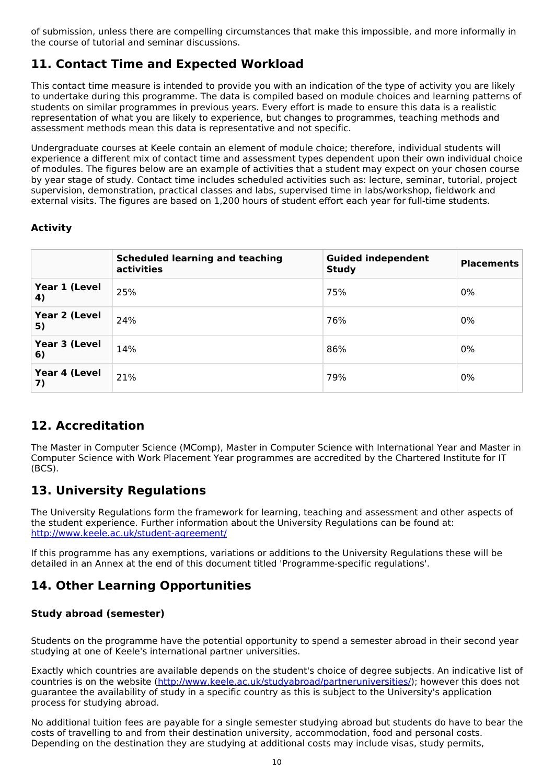of submission, unless there are compelling circumstances that make this impossible, and more informally in the course of tutorial and seminar discussions.

# **11. Contact Time and Expected Workload**

This contact time measure is intended to provide you with an indication of the type of activity you are likely to undertake during this programme. The data is compiled based on module choices and learning patterns of students on similar programmes in previous years. Every effort is made to ensure this data is a realistic representation of what you are likely to experience, but changes to programmes, teaching methods and assessment methods mean this data is representative and not specific.

Undergraduate courses at Keele contain an element of module choice; therefore, individual students will experience a different mix of contact time and assessment types dependent upon their own individual choice of modules. The figures below are an example of activities that a student may expect on your chosen course by year stage of study. Contact time includes scheduled activities such as: lecture, seminar, tutorial, project supervision, demonstration, practical classes and labs, supervised time in labs/workshop, fieldwork and external visits. The figures are based on 1,200 hours of student effort each year for full-time students.

### **Activity**

|                     | <b>Scheduled learning and teaching</b><br>activities | <b>Guided independent</b><br><b>Study</b> | <b>Placements</b> |
|---------------------|------------------------------------------------------|-------------------------------------------|-------------------|
| Year 1 (Level<br>4) | 25%                                                  | 75%                                       | 0%                |
| Year 2 (Level<br>5) | 24%                                                  | 76%                                       | 0%                |
| Year 3 (Level<br>6) | 14%                                                  | 86%                                       | 0%                |
| Year 4 (Level<br>7) | 21%                                                  | 79%                                       | 0%                |

# **12. Accreditation**

The Master in Computer Science (MComp), Master in Computer Science with International Year and Master in Computer Science with Work Placement Year programmes are accredited by the Chartered Institute for IT (BCS).

# **13. University Regulations**

The University Regulations form the framework for learning, teaching and assessment and other aspects of the student experience. Further information about the University Regulations can be found at: <http://www.keele.ac.uk/student-agreement/>

If this programme has any exemptions, variations or additions to the University Regulations these will be detailed in an Annex at the end of this document titled 'Programme-specific regulations'.

# **14. Other Learning Opportunities**

### **Study abroad (semester)**

Students on the programme have the potential opportunity to spend a semester abroad in their second year studying at one of Keele's international partner universities.

Exactly which countries are available depends on the student's choice of degree subjects. An indicative list of countries is on the website (<http://www.keele.ac.uk/studyabroad/partneruniversities/>); however this does not guarantee the availability of study in a specific country as this is subject to the University's application process for studying abroad.

No additional tuition fees are payable for a single semester studying abroad but students do have to bear the costs of travelling to and from their destination university, accommodation, food and personal costs. Depending on the destination they are studying at additional costs may include visas, study permits,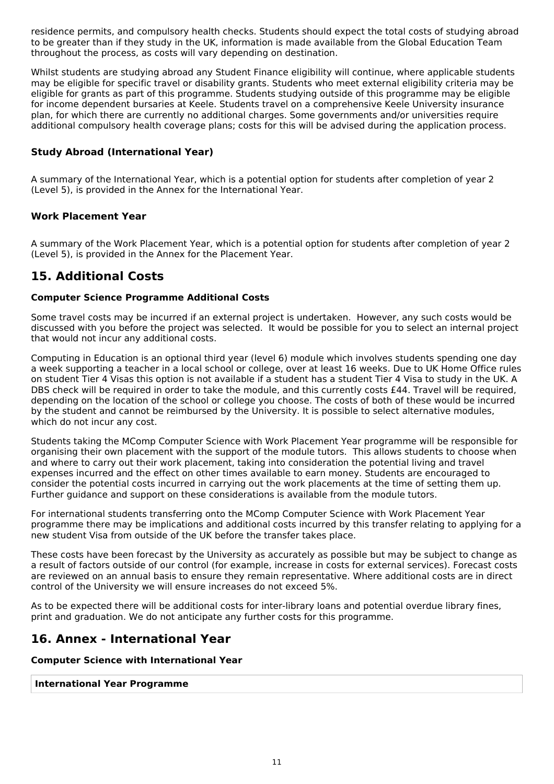residence permits, and compulsory health checks. Students should expect the total costs of studying abroad to be greater than if they study in the UK, information is made available from the Global Education Team throughout the process, as costs will vary depending on destination.

Whilst students are studying abroad any Student Finance eligibility will continue, where applicable students may be eligible for specific travel or disability grants. Students who meet external eligibility criteria may be eligible for grants as part of this programme. Students studying outside of this programme may be eligible for income dependent bursaries at Keele. Students travel on a comprehensive Keele University insurance plan, for which there are currently no additional charges. Some governments and/or universities require additional compulsory health coverage plans; costs for this will be advised during the application process.

### **Study Abroad (International Year)**

A summary of the International Year, which is a potential option for students after completion of year 2 (Level 5), is provided in the Annex for the International Year.

### **Work Placement Year**

A summary of the Work Placement Year, which is a potential option for students after completion of year 2 (Level 5), is provided in the Annex for the Placement Year.

## **15. Additional Costs**

### **Computer Science Programme Additional Costs**

Some travel costs may be incurred if an external project is undertaken. However, any such costs would be discussed with you before the project was selected. It would be possible for you to select an internal project that would not incur any additional costs.

Computing in Education is an optional third year (level 6) module which involves students spending one day a week supporting a teacher in a local school or college, over at least 16 weeks. Due to UK Home Office rules on student Tier 4 Visas this option is not available if a student has a student Tier 4 Visa to study in the UK. A DBS check will be required in order to take the module, and this currently costs £44. Travel will be required, depending on the location of the school or college you choose. The costs of both of these would be incurred by the student and cannot be reimbursed by the University. It is possible to select alternative modules, which do not incur any cost.

Students taking the MComp Computer Science with Work Placement Year programme will be responsible for organising their own placement with the support of the module tutors. This allows students to choose when and where to carry out their work placement, taking into consideration the potential living and travel expenses incurred and the effect on other times available to earn money. Students are encouraged to consider the potential costs incurred in carrying out the work placements at the time of setting them up. Further guidance and support on these considerations is available from the module tutors.

For international students transferring onto the MComp Computer Science with Work Placement Year programme there may be implications and additional costs incurred by this transfer relating to applying for a new student Visa from outside of the UK before the transfer takes place.

These costs have been forecast by the University as accurately as possible but may be subject to change as a result of factors outside of our control (for example, increase in costs for external services). Forecast costs are reviewed on an annual basis to ensure they remain representative. Where additional costs are in direct control of the University we will ensure increases do not exceed 5%.

As to be expected there will be additional costs for inter-library loans and potential overdue library fines, print and graduation. We do not anticipate any further costs for this programme.

## **16. Annex - International Year**

#### **Computer Science with International Year**

#### **International Year Programme**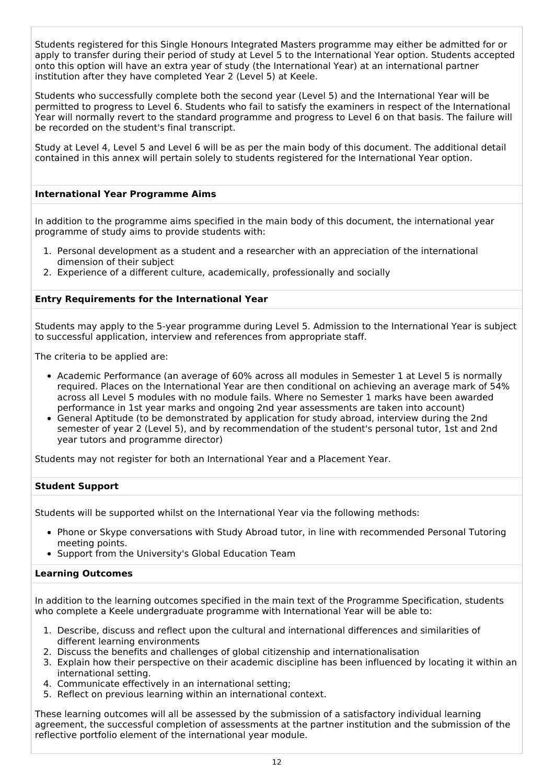Students registered for this Single Honours Integrated Masters programme may either be admitted for or apply to transfer during their period of study at Level 5 to the International Year option. Students accepted onto this option will have an extra year of study (the International Year) at an international partner institution after they have completed Year 2 (Level 5) at Keele.

Students who successfully complete both the second year (Level 5) and the International Year will be permitted to progress to Level 6. Students who fail to satisfy the examiners in respect of the International Year will normally revert to the standard programme and progress to Level 6 on that basis. The failure will be recorded on the student's final transcript.

Study at Level 4, Level 5 and Level 6 will be as per the main body of this document. The additional detail contained in this annex will pertain solely to students registered for the International Year option.

#### **International Year Programme Aims**

In addition to the programme aims specified in the main body of this document, the international year programme of study aims to provide students with:

- 1. Personal development as a student and a researcher with an appreciation of the international dimension of their subject
- 2. Experience of a different culture, academically, professionally and socially

#### **Entry Requirements for the International Year**

Students may apply to the 5-year programme during Level 5. Admission to the International Year is subject to successful application, interview and references from appropriate staff.

The criteria to be applied are:

- Academic Performance (an average of 60% across all modules in Semester 1 at Level 5 is normally required. Places on the International Year are then conditional on achieving an average mark of 54% across all Level 5 modules with no module fails. Where no Semester 1 marks have been awarded performance in 1st year marks and ongoing 2nd year assessments are taken into account)
- General Aptitude (to be demonstrated by application for study abroad, interview during the 2nd semester of year 2 (Level 5), and by recommendation of the student's personal tutor, 1st and 2nd year tutors and programme director)

Students may not register for both an International Year and a Placement Year.

#### **Student Support**

Students will be supported whilst on the International Year via the following methods:

- Phone or Skype conversations with Study Abroad tutor, in line with recommended Personal Tutoring meeting points.
- Support from the University's Global Education Team

#### **Learning Outcomes**

In addition to the learning outcomes specified in the main text of the Programme Specification, students who complete a Keele undergraduate programme with International Year will be able to:

- 1. Describe, discuss and reflect upon the cultural and international differences and similarities of different learning environments
- 2. Discuss the benefits and challenges of global citizenship and internationalisation
- 3. Explain how their perspective on their academic discipline has been influenced by locating it within an international setting.
- 4. Communicate effectively in an international setting;
- 5. Reflect on previous learning within an international context.

These learning outcomes will all be assessed by the submission of a satisfactory individual learning agreement, the successful completion of assessments at the partner institution and the submission of the reflective portfolio element of the international year module.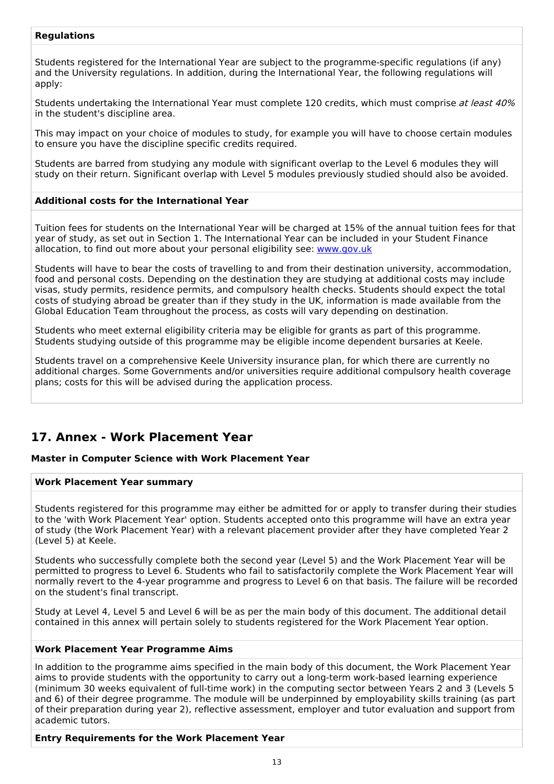### **Regulations**

Students registered for the International Year are subject to the programme-specific regulations (if any) and the University regulations. In addition, during the International Year, the following regulations will apply:

Students undertaking the International Year must complete 120 credits, which must comprise at least 40% in the student's discipline area.

This may impact on your choice of modules to study, for example you will have to choose certain modules to ensure you have the discipline specific credits required.

Students are barred from studying any module with significant overlap to the Level 6 modules they will study on their return. Significant overlap with Level 5 modules previously studied should also be avoided.

#### **Additional costs for the International Year**

Tuition fees for students on the International Year will be charged at 15% of the annual tuition fees for that year of study, as set out in Section 1. The International Year can be included in your Student Finance allocation, to find out more about your personal eligibility see: [www.gov.uk](http://www.gov.uk/)

Students will have to bear the costs of travelling to and from their destination university, accommodation, food and personal costs. Depending on the destination they are studying at additional costs may include visas, study permits, residence permits, and compulsory health checks. Students should expect the total costs of studying abroad be greater than if they study in the UK, information is made available from the Global Education Team throughout the process, as costs will vary depending on destination.

Students who meet external eligibility criteria may be eligible for grants as part of this programme. Students studying outside of this programme may be eligible income dependent bursaries at Keele.

Students travel on a comprehensive Keele University insurance plan, for which there are currently no additional charges. Some Governments and/or universities require additional compulsory health coverage plans; costs for this will be advised during the application process.

# **17. Annex - Work Placement Year**

#### **Master in Computer Science with Work Placement Year**

#### **Work Placement Year summary**

Students registered for this programme may either be admitted for or apply to transfer during their studies to the 'with Work Placement Year' option. Students accepted onto this programme will have an extra year of study (the Work Placement Year) with a relevant placement provider after they have completed Year 2 (Level 5) at Keele.

Students who successfully complete both the second year (Level 5) and the Work Placement Year will be permitted to progress to Level 6. Students who fail to satisfactorily complete the Work Placement Year will normally revert to the 4-year programme and progress to Level 6 on that basis. The failure will be recorded on the student's final transcript.

Study at Level 4, Level 5 and Level 6 will be as per the main body of this document. The additional detail contained in this annex will pertain solely to students registered for the Work Placement Year option.

#### **Work Placement Year Programme Aims**

In addition to the programme aims specified in the main body of this document, the Work Placement Year aims to provide students with the opportunity to carry out a long-term work-based learning experience (minimum 30 weeks equivalent of full-time work) in the computing sector between Years 2 and 3 (Levels 5 and 6) of their degree programme. The module will be underpinned by employability skills training (as part of their preparation during year 2), reflective assessment, employer and tutor evaluation and support from academic tutors.

#### **Entry Requirements for the Work Placement Year**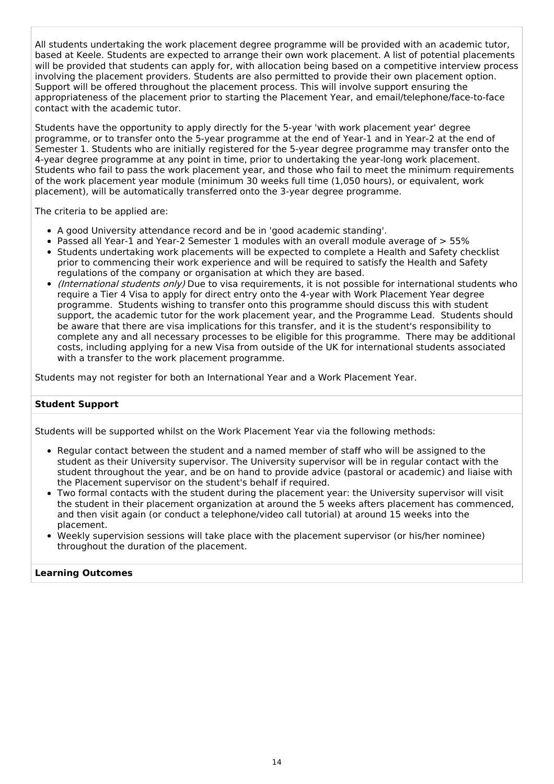All students undertaking the work placement degree programme will be provided with an academic tutor, based at Keele. Students are expected to arrange their own work placement. A list of potential placements will be provided that students can apply for, with allocation being based on a competitive interview process involving the placement providers. Students are also permitted to provide their own placement option. Support will be offered throughout the placement process. This will involve support ensuring the appropriateness of the placement prior to starting the Placement Year, and email/telephone/face-to-face contact with the academic tutor.

Students have the opportunity to apply directly for the 5-year 'with work placement year' degree programme, or to transfer onto the 5-year programme at the end of Year-1 and in Year-2 at the end of Semester 1. Students who are initially registered for the 5-year degree programme may transfer onto the 4-year degree programme at any point in time, prior to undertaking the year-long work placement. Students who fail to pass the work placement year, and those who fail to meet the minimum requirements of the work placement year module (minimum 30 weeks full time (1,050 hours), or equivalent, work placement), will be automatically transferred onto the 3-year degree programme.

The criteria to be applied are:

- A good University attendance record and be in 'good academic standing'.
- Passed all Year-1 and Year-2 Semester 1 modules with an overall module average of > 55%
- Students undertaking work placements will be expected to complete a Health and Safety checklist prior to commencing their work experience and will be required to satisfy the Health and Safety regulations of the company or organisation at which they are based.
- *(International students only)* Due to visa requirements, it is not possible for international students who require a Tier 4 Visa to apply for direct entry onto the 4-year with Work Placement Year degree programme. Students wishing to transfer onto this programme should discuss this with student support, the academic tutor for the work placement year, and the Programme Lead. Students should be aware that there are visa implications for this transfer, and it is the student's responsibility to complete any and all necessary processes to be eligible for this programme. There may be additional costs, including applying for a new Visa from outside of the UK for international students associated with a transfer to the work placement programme.

Students may not register for both an International Year and a Work Placement Year.

#### **Student Support**

Students will be supported whilst on the Work Placement Year via the following methods:

- Regular contact between the student and a named member of staff who will be assigned to the student as their University supervisor. The University supervisor will be in regular contact with the student throughout the year, and be on hand to provide advice (pastoral or academic) and liaise with the Placement supervisor on the student's behalf if required.
- Two formal contacts with the student during the placement year: the University supervisor will visit the student in their placement organization at around the 5 weeks afters placement has commenced, and then visit again (or conduct a telephone/video call tutorial) at around 15 weeks into the placement.
- Weekly supervision sessions will take place with the placement supervisor (or his/her nominee) throughout the duration of the placement.

#### **Learning Outcomes**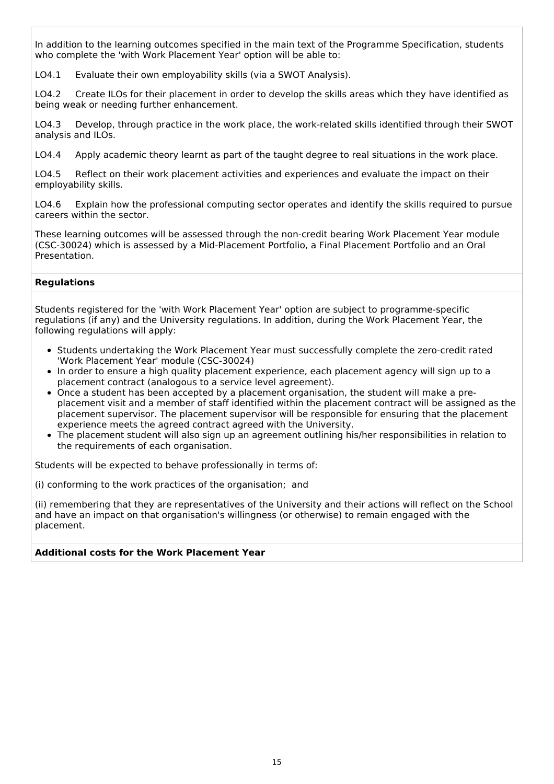In addition to the learning outcomes specified in the main text of the Programme Specification, students who complete the 'with Work Placement Year' option will be able to:

LO4.1 Evaluate their own employability skills (via a SWOT Analysis).

LO4.2 Create ILOs for their placement in order to develop the skills areas which they have identified as being weak or needing further enhancement.

LO4.3 Develop, through practice in the work place, the work-related skills identified through their SWOT analysis and ILOs.

LO4.4 Apply academic theory learnt as part of the taught degree to real situations in the work place.

LO4.5 Reflect on their work placement activities and experiences and evaluate the impact on their employability skills.

LO4.6 Explain how the professional computing sector operates and identify the skills required to pursue careers within the sector.

These learning outcomes will be assessed through the non-credit bearing Work Placement Year module (CSC-30024) which is assessed by a Mid-Placement Portfolio, a Final Placement Portfolio and an Oral Presentation.

#### **Regulations**

Students registered for the 'with Work Placement Year' option are subject to programme-specific regulations (if any) and the University regulations. In addition, during the Work Placement Year, the following regulations will apply:

- Students undertaking the Work Placement Year must successfully complete the zero-credit rated 'Work Placement Year' module (CSC-30024)
- In order to ensure a high quality placement experience, each placement agency will sign up to a placement contract (analogous to a service level agreement).
- Once a student has been accepted by a placement organisation, the student will make a preplacement visit and a member of staff identified within the placement contract will be assigned as the placement supervisor. The placement supervisor will be responsible for ensuring that the placement experience meets the agreed contract agreed with the University.
- The placement student will also sign up an agreement outlining his/her responsibilities in relation to the requirements of each organisation.

Students will be expected to behave professionally in terms of:

(i) conforming to the work practices of the organisation; and

(ii) remembering that they are representatives of the University and their actions will reflect on the School and have an impact on that organisation's willingness (or otherwise) to remain engaged with the placement.

#### **Additional costs for the Work Placement Year**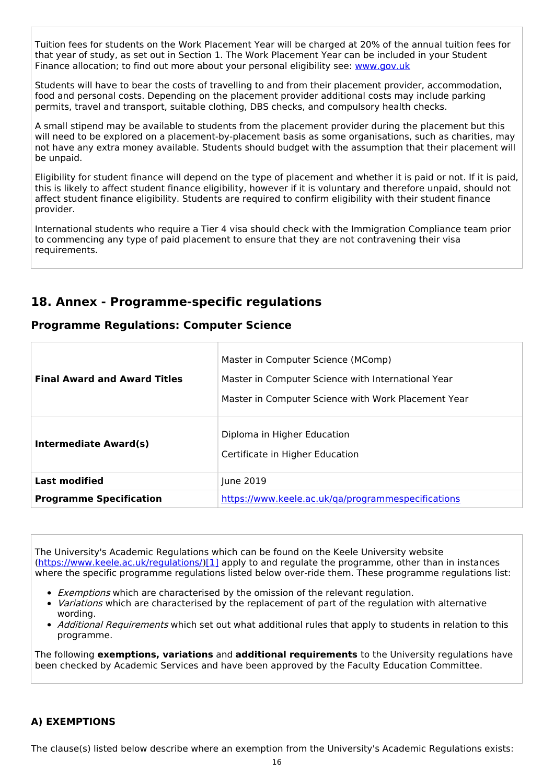Tuition fees for students on the Work Placement Year will be charged at 20% of the annual tuition fees for that year of study, as set out in Section 1. The Work Placement Year can be included in your Student Finance allocation; to find out more about your personal eligibility see: [www.gov.uk](http://www.gov.uk/)

Students will have to bear the costs of travelling to and from their placement provider, accommodation, food and personal costs. Depending on the placement provider additional costs may include parking permits, travel and transport, suitable clothing, DBS checks, and compulsory health checks.

A small stipend may be available to students from the placement provider during the placement but this will need to be explored on a placement-by-placement basis as some organisations, such as charities, may not have any extra money available. Students should budget with the assumption that their placement will be unpaid.

Eligibility for student finance will depend on the type of placement and whether it is paid or not. If it is paid, this is likely to affect student finance eligibility, however if it is voluntary and therefore unpaid, should not affect student finance eligibility. Students are required to confirm eligibility with their student finance provider.

International students who require a Tier 4 visa should check with the Immigration Compliance team prior to commencing any type of paid placement to ensure that they are not contravening their visa requirements.

## **18. Annex - Programme-specific regulations**

### **Programme Regulations: Computer Science**

| <b>Final Award and Award Titles</b> | Master in Computer Science (MComp)<br>Master in Computer Science with International Year<br>Master in Computer Science with Work Placement Year |  |
|-------------------------------------|-------------------------------------------------------------------------------------------------------------------------------------------------|--|
| <b>Intermediate Award(s)</b>        | Diploma in Higher Education<br>Certificate in Higher Education                                                                                  |  |
| <b>Last modified</b>                | June 2019                                                                                                                                       |  |
| <b>Programme Specification</b>      | https://www.keele.ac.uk/ga/programmespecifications                                                                                              |  |

The University's Academic Regulations which can be found on the Keele University website [\(https://www.keele.ac.uk/regulations/](https://www.keele.ac.uk/regulations/)[\)\[1\]](https://scims-api.keele.ac.uk/#_ftn1) apply to and regulate the programme, other than in instances where the specific programme regulations listed below over-ride them. These programme regulations list:

- **Exemptions which are characterised by the omission of the relevant regulation.**
- *Variations* which are characterised by the replacement of part of the regulation with alternative wording.
- Additional Requirements which set out what additional rules that apply to students in relation to this programme.

The following **exemptions, variations** and **additional requirements** to the University regulations have been checked by Academic Services and have been approved by the Faculty Education Committee.

### **A) EXEMPTIONS**

The clause(s) listed below describe where an exemption from the University's Academic Regulations exists: